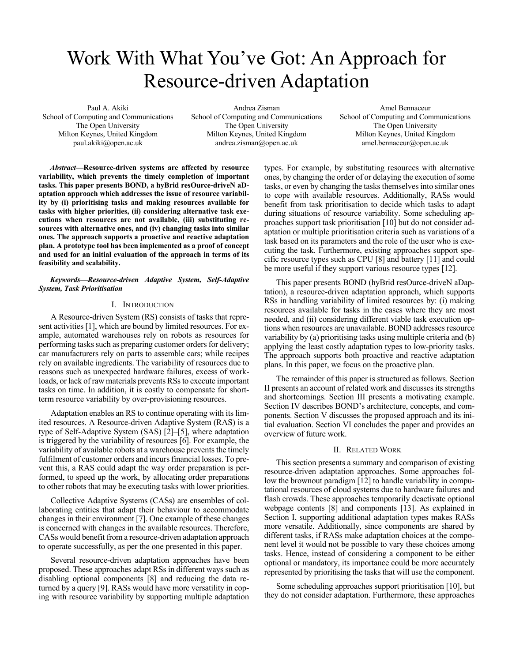# Work With What You've Got: An Approach for Resource-driven Adaptation

Paul A. Akiki School of Computing and Communications The Open University Milton Keynes, United Kingdom paul.akiki@open.ac.uk

Andrea Zisman School of Computing and Communications The Open University Milton Keynes, United Kingdom andrea.zisman@open.ac.uk

Amel Bennaceur School of Computing and Communications The Open University Milton Keynes, United Kingdom amel.bennaceur@open.ac.uk

*Abstract***—Resource-driven systems are affected by resource variability, which prevents the timely completion of important tasks. This paper presents BOND, a hyBrid resOurce-driveN aDaptation approach which addresses the issue of resource variability by (i) prioritising tasks and making resources available for tasks with higher priorities, (ii) considering alternative task executions when resources are not available, (iii) substituting resources with alternative ones, and (iv) changing tasks into similar ones. The approach supports a proactive and reactive adaptation plan. A prototype tool has been implemented as a proof of concept and used for an initial evaluation of the approach in terms of its feasibility and scalability.**

## *Keywords—Resource-driven Adaptive System, Self-Adaptive System, Task Prioritisation*

### I. INTRODUCTION

A Resource-driven System (RS) consists of tasks that represent activities [1], which are bound by limited resources. For example, automated warehouses rely on robots as resources for performing tasks such as preparing customer orders for delivery; car manufacturers rely on parts to assemble cars; while recipes rely on available ingredients. The variability of resources due to reasons such as unexpected hardware failures, excess of workloads, or lack of raw materials prevents RSs to execute important tasks on time. In addition, it is costly to compensate for shortterm resource variability by over-provisioning resources.

Adaptation enables an RS to continue operating with its limited resources. A Resource-driven Adaptive System (RAS) is a type of Self-Adaptive System (SAS) [2]–[5], where adaptation is triggered by the variability of resources [6]. For example, the variability of available robots at a warehouse prevents the timely fulfilment of customer orders and incurs financial losses. To prevent this, a RAS could adapt the way order preparation is performed, to speed up the work, by allocating order preparations to other robots that may be executing tasks with lower priorities.

Collective Adaptive Systems (CASs) are ensembles of collaborating entities that adapt their behaviour to accommodate changes in their environment [7]. One example of these changes is concerned with changes in the available resources. Therefore, CASs would benefit from a resource-driven adaptation approach to operate successfully, as per the one presented in this paper.

Several resource-driven adaptation approaches have been proposed. These approaches adapt RSs in different ways such as disabling optional components [8] and reducing the data returned by a query [9]. RASs would have more versatility in coping with resource variability by supporting multiple adaptation types. For example, by substituting resources with alternative ones, by changing the order of or delaying the execution of some tasks, or even by changing the tasks themselves into similar ones to cope with available resources. Additionally, RASs would benefit from task prioritisation to decide which tasks to adapt during situations of resource variability. Some scheduling approaches support task prioritisation [10] but do not consider adaptation or multiple prioritisation criteria such as variations of a task based on its parameters and the role of the user who is executing the task. Furthermore, existing approaches support specific resource types such as CPU [8] and battery [11] and could be more useful if they support various resource types [12].

This paper presents BOND (hyBrid resOurce-driveN aDaptation), a resource-driven adaptation approach, which supports RSs in handling variability of limited resources by: (i) making resources available for tasks in the cases where they are most needed, and (ii) considering different viable task execution options when resources are unavailable. BOND addresses resource variability by (a) prioritising tasks using multiple criteria and (b) applying the least costly adaptation types to low-priority tasks. The approach supports both proactive and reactive adaptation plans. In this paper, we focus on the proactive plan.

The remainder of this paper is structured as follows. Section II presents an account of related work and discusses its strengths and shortcomings. Section III presents a motivating example. Section IV describes BOND's architecture, concepts, and components. Section V discusses the proposed approach and its initial evaluation. Section VI concludes the paper and provides an overview of future work.

### II. RELATED WORK

This section presents a summary and comparison of existing resource-driven adaptation approaches. Some approaches follow the brownout paradigm [12] to handle variability in computational resources of cloud systems due to hardware failures and flash crowds. These approaches temporarily deactivate optional webpage contents [8] and components [13]. As explained in Section I, supporting additional adaptation types makes RASs more versatile. Additionally, since components are shared by different tasks, if RASs make adaptation choices at the component level it would not be possible to vary these choices among tasks. Hence, instead of considering a component to be either optional or mandatory, its importance could be more accurately represented by prioritising the tasks that will use the component.

Some scheduling approaches support prioritisation [10], but they do not consider adaptation. Furthermore, these approaches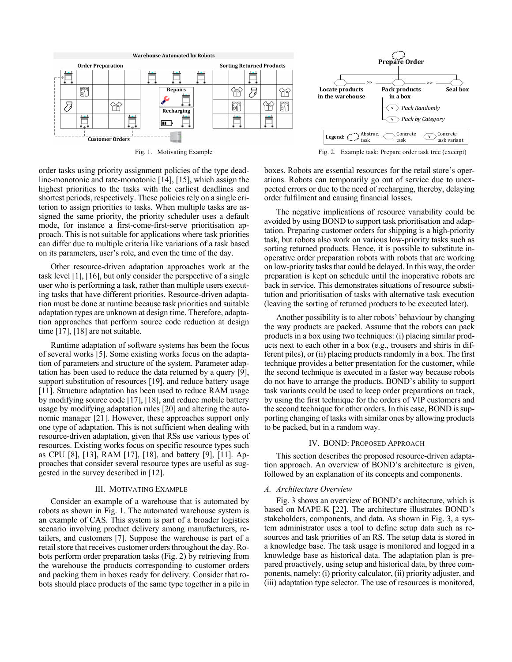



Fig. 1. Motivating Example Fig. 2. Example task: Prepare order task tree (excerpt)

order tasks using priority assignment policies of the type deadline-monotonic and rate-monotonic [14], [15], which assign the highest priorities to the tasks with the earliest deadlines and shortest periods, respectively. These policies rely on a single criterion to assign priorities to tasks. When multiple tasks are assigned the same priority, the priority scheduler uses a default mode, for instance a first-come-first-serve prioritisation approach. This is not suitable for applications where task priorities can differ due to multiple criteria like variations of a task based on its parameters, user's role, and even the time of the day.

Other resource-driven adaptation approaches work at the task level [1], [16], but only consider the perspective of a single user who is performing a task, rather than multiple users executing tasks that have different priorities. Resource-driven adaptation must be done at runtime because task priorities and suitable adaptation types are unknown at design time. Therefore, adaptation approaches that perform source code reduction at design time [17], [18] are not suitable.

Runtime adaptation of software systems has been the focus of several works [5]. Some existing works focus on the adaptation of parameters and structure of the system. Parameter adaptation has been used to reduce the data returned by a query [9], support substitution of resources [19], and reduce battery usage [11]. Structure adaptation has been used to reduce RAM usage by modifying source code [17], [18], and reduce mobile battery usage by modifying adaptation rules [20] and altering the autonomic manager [21]. However, these approaches support only one type of adaptation. This is not sufficient when dealing with resource-driven adaptation, given that RSs use various types of resources. Existing works focus on specific resource types such as CPU [8], [13], RAM [17], [18], and battery [9], [11]. Approaches that consider several resource types are useful as suggested in the survey described in [12].

### III. MOTIVATING EXAMPLE

Consider an example of a warehouse that is automated by robots as shown in Fig. 1. The automated warehouse system is an example of CAS. This system is part of a broader logistics scenario involving product delivery among manufacturers, retailers, and customers [7]. Suppose the warehouse is part of a retail store that receives customer orders throughout the day. Robots perform order preparation tasks (Fig. 2) by retrieving from the warehouse the products corresponding to customer orders and packing them in boxes ready for delivery. Consider that robots should place products of the same type together in a pile in boxes. Robots are essential resources for the retail store's operations. Robots can temporarily go out of service due to unexpected errors or due to the need of recharging, thereby, delaying order fulfilment and causing financial losses.

The negative implications of resource variability could be avoided by using BOND to support task prioritisation and adaptation. Preparing customer orders for shipping is a high-priority task, but robots also work on various low-priority tasks such as sorting returned products. Hence, it is possible to substitute inoperative order preparation robots with robots that are working on low-priority tasks that could be delayed. In this way, the order preparation is kept on schedule until the inoperative robots are back in service. This demonstrates situations of resource substitution and prioritisation of tasks with alternative task execution (leaving the sorting of returned products to be executed later).

Another possibility is to alter robots' behaviour by changing the way products are packed. Assume that the robots can pack products in a box using two techniques: (i) placing similar products next to each other in a box (e.g., trousers and shirts in different piles), or (ii) placing products randomly in a box. The first technique provides a better presentation for the customer, while the second technique is executed in a faster way because robots do not have to arrange the products. BOND's ability to support task variants could be used to keep order preparations on track, by using the first technique for the orders of VIP customers and the second technique for other orders. In this case, BOND is supporting changing of tasks with similar ones by allowing products to be packed, but in a random way.

## IV. BOND: PROPOSED APPROACH

This section describes the proposed resource-driven adaptation approach. An overview of BOND's architecture is given, followed by an explanation of its concepts and components.

### *A. Architecture Overview*

Fig. 3 shows an overview of BOND's architecture, which is based on MAPE-K [22]. The architecture illustrates BOND's stakeholders, components, and data. As shown in Fig. 3, a system administrator uses a tool to define setup data such as resources and task priorities of an RS. The setup data is stored in a knowledge base. The task usage is monitored and logged in a knowledge base as historical data. The adaptation plan is prepared proactively, using setup and historical data, by three components, namely: (i) priority calculator, (ii) priority adjuster, and (iii) adaptation type selector. The use of resources is monitored,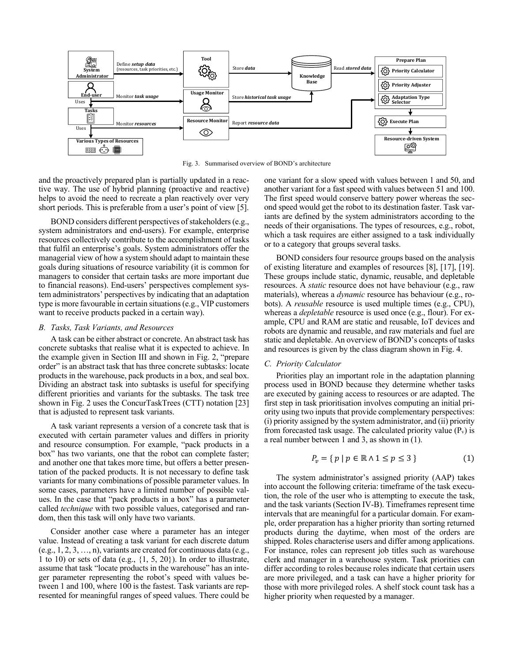

Fig. 3. Summarised overview of BOND's architecture

and the proactively prepared plan is partially updated in a reactive way. The use of hybrid planning (proactive and reactive) helps to avoid the need to recreate a plan reactively over very short periods. This is preferable from a user's point of view [5].

BOND considers different perspectives of stakeholders (e.g., system administrators and end-users). For example, enterprise resources collectively contribute to the accomplishment of tasks that fulfil an enterprise's goals. System administrators offer the managerial view of how a system should adapt to maintain these goals during situations of resource variability (it is common for managers to consider that certain tasks are more important due to financial reasons). End-users' perspectives complement system administrators' perspectives by indicating that an adaptation type is more favourable in certain situations(e.g., VIP customers want to receive products packed in a certain way).

#### *B. Tasks, Task Variants, and Resources*

A task can be either abstract or concrete. An abstract task has concrete subtasks that realise what it is expected to achieve. In the example given in Section III and shown in Fig. 2, "prepare order" is an abstract task that has three concrete subtasks: locate products in the warehouse, pack products in a box, and seal box. Dividing an abstract task into subtasks is useful for specifying different priorities and variants for the subtasks. The task tree shown in Fig. 2 uses the ConcurTaskTrees (CTT) notation [23] that is adjusted to represent task variants.

A task variant represents a version of a concrete task that is executed with certain parameter values and differs in priority and resource consumption. For example, "pack products in a box" has two variants, one that the robot can complete faster; and another one that takes more time, but offers a better presentation of the packed products. It is not necessary to define task variants for many combinations of possible parameter values. In some cases, parameters have a limited number of possible values. In the case that "pack products in a box" has a parameter called *technique* with two possible values, categorised and random, then this task will only have two variants.

Consider another case where a parameter has an integer value. Instead of creating a task variant for each discrete datum (e.g., 1, 2, 3, …, n), variants are created for continuous data (e.g., 1 to 10) or sets of data (e.g.,  $\{1, 5, 20\}$ ). In order to illustrate, assume that task "locate products in the warehouse" has an integer parameter representing the robot's speed with values between 1 and 100, where 100 is the fastest. Task variants are represented for meaningful ranges of speed values. There could be

one variant for a slow speed with values between 1 and 50, and another variant for a fast speed with values between 51 and 100. The first speed would conserve battery power whereas the second speed would get the robot to its destination faster. Task variants are defined by the system administrators according to the needs of their organisations. The types of resources, e.g., robot, which a task requires are either assigned to a task individually or to a category that groups several tasks.

BOND considers four resource groups based on the analysis of existing literature and examples of resources [8], [17], [19]. These groups include static, dynamic, reusable, and depletable resources. A *static* resource does not have behaviour (e.g., raw materials), whereas a *dynamic* resource has behaviour (e.g., robots). A *reusable* resource is used multiple times (e.g., CPU), whereas a *depletable* resource is used once (e.g., flour). For example, CPU and RAM are static and reusable, IoT devices and robots are dynamic and reusable, and raw materials and fuel are static and depletable. An overview of BOND's concepts of tasks and resources is given by the class diagram shown in Fig. 4.

## *C. Priority Calculator*

Priorities play an important role in the adaptation planning process used in BOND because they determine whether tasks are executed by gaining access to resources or are adapted. The first step in task prioritisation involves computing an initial priority using two inputs that provide complementary perspectives: (i) priority assigned by the system administrator, and (ii) priority from forecasted task usage. The calculated priority value  $(P_v)$  is a real number between 1 and 3, as shown in (1).

$$
P_v = \{ p \mid p \in \mathbb{R} \land 1 \le p \le 3 \}
$$
 (1)

The system administrator's assigned priority (AAP) takes into account the following criteria: timeframe of the task execution, the role of the user who is attempting to execute the task, and the task variants (Section IV-B). Timeframes represent time intervals that are meaningful for a particular domain. For example, order preparation has a higher priority than sorting returned products during the daytime, when most of the orders are shipped. Roles characterise users and differ among applications. For instance, roles can represent job titles such as warehouse clerk and manager in a warehouse system. Task priorities can differ according to roles because roles indicate that certain users are more privileged, and a task can have a higher priority for those with more privileged roles. A shelf stock count task has a higher priority when requested by a manager.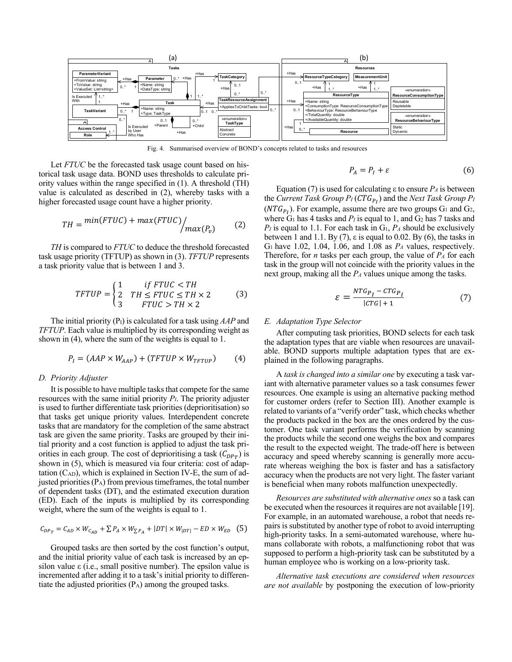

Fig. 4. Summarised overview of BOND's concepts related to tasks and resources

Let *FTUC* be the forecasted task usage count based on historical task usage data. BOND uses thresholds to calculate priority values within the range specified in (1). A threshold (TH) value is calculated as described in (2), whereby tasks with a higher forecasted usage count have a higher priority.

$$
TH = min(FTUC) + max(FTUC) / max(P_v)
$$
 (2)

*TH* is compared to *FTUC* to deduce the threshold forecasted task usage priority (TFTUP) as shown in (3). *TFTUP* represents a task priority value that is between 1 and 3.

$$
TFTUP = \begin{cases} 1 & \text{if FTUC} < TH \\ 2 & \text{TH} \leq FTUC \leq TH \times 2 \\ 3 & \text{FTUC} > TH \times 2 \end{cases} \tag{3}
$$

The initial priority (PI) is calculated for a task using *AAP* and *TFTUP*. Each value is multiplied by its corresponding weight as shown in (4), where the sum of the weights is equal to 1.

$$
P_I = (AAP \times W_{AAP}) + (TFTUP \times W_{TFTUP}) \tag{4}
$$

#### *D. Priority Adjuster*

It is possible to have multiple tasks that compete for the same resources with the same initial priority *PI*. The priority adjuster is used to further differentiate task priorities (deprioritisation) so that tasks get unique priority values. Interdependent concrete tasks that are mandatory for the completion of the same abstract task are given the same priority. Tasks are grouped by their initial priority and a cost function is applied to adjust the task priorities in each group. The cost of deprioritising a task  $(C_{DPT})$  is shown in (5), which is measured via four criteria: cost of adaptation  $(C<sub>AD</sub>)$ , which is explained in Section IV-E, the sum of adjusted priorities(PA) from previous timeframes, the total number of dependent tasks (DT), and the estimated execution duration (ED). Each of the inputs is multiplied by its corresponding weight, where the sum of the weights is equal to 1.

$$
C_{DP_T} = C_{AD} \times W_{C_{AD}} + \sum P_A \times W_{\sum P_A} + |DT| \times W_{|DT|} - ED \times W_{ED} \quad (5)
$$

Grouped tasks are then sorted by the cost function's output, and the initial priority value of each task is increased by an epsilon value ε (i.e., small positive number). The epsilon value is incremented after adding it to a task's initial priority to differentiate the adjusted priorities  $(P_A)$  among the grouped tasks.

$$
P_A = P_I + \varepsilon \tag{6}
$$

Equation (7) is used for calculating ε to ensure *PA* is between the *Current Task Group PI* (\$\* ) and the *Next Task Group PI*  $(NTG_{P_I})$ . For example, assume there are two groups  $G_1$  and  $G_2$ , where  $G_1$  has 4 tasks and  $P_I$  is equal to 1, and  $G_2$  has 7 tasks and  $P_I$  is equal to 1.1. For each task in  $G_I$ ,  $P_A$  should be exclusively between 1 and 1.1. By (7),  $\varepsilon$  is equal to 0.02. By (6), the tasks in G1 have 1.02, 1.04, 1.06, and 1.08 as *PA* values, respectively. Therefore, for *n* tasks per each group, the value of *PA* for each task in the group will not coincide with the priority values in the next group, making all the *PA* values unique among the tasks.

$$
\varepsilon = \frac{NTG_{P_I} - CTG_{P_I}}{|CTG| + 1} \tag{7}
$$

#### *E. Adaptation Type Selector*

After computing task priorities, BOND selects for each task the adaptation types that are viable when resources are unavailable. BOND supports multiple adaptation types that are explained in the following paragraphs.

A *task is changed into a similar one* by executing a task variant with alternative parameter values so a task consumes fewer resources. One example is using an alternative packing method for customer orders (refer to Section III). Another example is related to variants of a "verify order" task, which checks whether the products packed in the box are the ones ordered by the customer. One task variant performs the verification by scanning the products while the second one weighs the box and compares the result to the expected weight. The trade-off here is between accuracy and speed whereby scanning is generally more accurate whereas weighing the box is faster and has a satisfactory accuracy when the products are not very light. The faster variant is beneficial when many robots malfunction unexpectedly.

*Resources are substituted with alternative ones* so a task can be executed when the resources it requires are not available [19]. For example, in an automated warehouse, a robot that needs repairs is substituted by another type of robot to avoid interrupting high-priority tasks. In a semi-automated warehouse, where humans collaborate with robots, a malfunctioning robot that was supposed to perform a high-priority task can be substituted by a human employee who is working on a low-priority task.

*Alternative task executions are considered when resources are not available* by postponing the execution of low-priority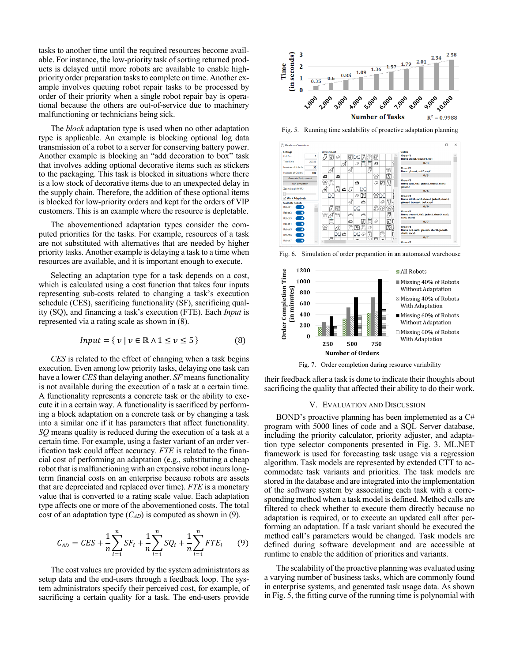tasks to another time until the required resources become available. For instance, the low-priority task of sorting returned products is delayed until more robots are available to enable highpriority order preparation tasks to complete on time. Another example involves queuing robot repair tasks to be processed by order of their priority when a single robot repair bay is operational because the others are out-of-service due to machinery malfunctioning or technicians being sick.

The *block* adaptation type is used when no other adaptation type is applicable. An example is blocking optional log data transmission of a robot to a server for conserving battery power. Another example is blocking an "add decoration to box" task that involves adding optional decorative items such as stickers to the packaging. This task is blocked in situations where there is a low stock of decorative items due to an unexpected delay in the supply chain. Therefore, the addition of these optional items is blocked for low-priority orders and kept for the orders of VIP customers. This is an example where the resource is depletable.

The abovementioned adaptation types consider the computed priorities for the tasks. For example, resources of a task are not substituted with alternatives that are needed by higher priority tasks. Another example is delaying a task to a time when resources are available, and it is important enough to execute.

Selecting an adaptation type for a task depends on a cost, which is calculated using a cost function that takes four inputs representing sub-costs related to changing a task's execution schedule (CES), sacrificing functionality (SF), sacrificing quality (SQ), and financing a task's execution (FTE). Each *Input* is represented via a rating scale as shown in (8).

$$
Input = \{ v \mid v \in \mathbb{R} \land 1 \le v \le 5 \}
$$
 (8)

*CES* is related to the effect of changing when a task begins execution. Even among low priority tasks, delaying one task can have a lower *CES* than delaying another. *SF* means functionality is not available during the execution of a task at a certain time. A functionality represents a concrete task or the ability to execute it in a certain way. A functionality is sacrificed by performing a block adaptation on a concrete task or by changing a task into a similar one if it has parameters that affect functionality. *SQ* means quality is reduced during the execution of a task at a certain time. For example, using a faster variant of an order verification task could affect accuracy. *FTE* is related to the financial cost of performing an adaptation (e.g., substituting a cheap robot that is malfunctioning with an expensive robot incurs longterm financial costs on an enterprise because robots are assets that are depreciated and replaced over time). *FTE* is a monetary value that is converted to a rating scale value. Each adaptation type affects one or more of the abovementioned costs. The total cost of an adaptation type (*CAD*) is computed as shown in (9).

$$
C_{AD} = CES + \frac{1}{n} \sum_{i=1}^{n} SF_i + \frac{1}{n} \sum_{i=1}^{n} SQ_i + \frac{1}{n} \sum_{i=1}^{n} FTE_i \tag{9}
$$

The cost values are provided by the system administrators as setup data and the end-users through a feedback loop. The system administrators specify their perceived cost, for example, of sacrificing a certain quality for a task. The end-users provide



Fig. 5. Running time scalability of proactive adaptation planning



Fig. 6. Simulation of order preparation in an automated warehouse



Fig. 7. Order completion during resource variability

their feedback after a task is done to indicate their thoughts about sacrificing the quality that affected their ability to do their work.

#### V. EVALUATION AND DISCUSSION

BOND's proactive planning has been implemented as a C# program with 5000 lines of code and a SQL Server database, including the priority calculator, priority adjuster, and adaptation type selector components presented in Fig. 3. ML.NET framework is used for forecasting task usage via a regression algorithm. Task models are represented by extended CTT to accommodate task variants and priorities. The task models are stored in the database and are integrated into the implementation of the software system by associating each task with a corresponding method when a task model is defined. Method calls are filtered to check whether to execute them directly because no adaptation is required, or to execute an updated call after performing an adaptation. If a task variant should be executed the method call's parameters would be changed. Task models are defined during software development and are accessible at runtime to enable the addition of priorities and variants.

The scalability of the proactive planning was evaluated using a varying number of business tasks, which are commonly found in enterprise systems, and generated task usage data. As shown in Fig. 5, the fitting curve of the running time is polynomial with